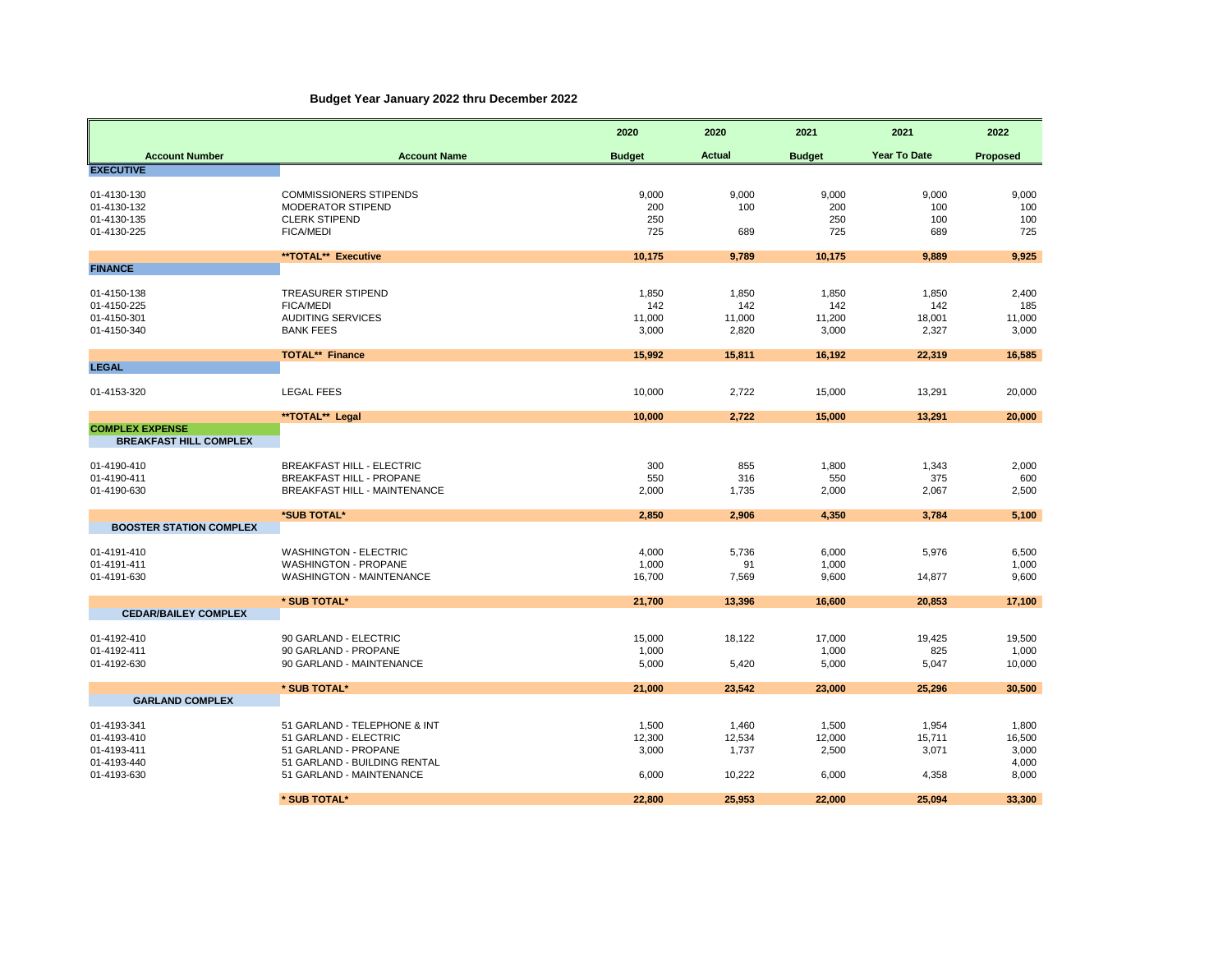## **Budget Year January 2022 thru December 2022**

|                                                          |                                                                                                               | 2020                            | 2020                            | 2021                            | 2021                            | 2022                              |
|----------------------------------------------------------|---------------------------------------------------------------------------------------------------------------|---------------------------------|---------------------------------|---------------------------------|---------------------------------|-----------------------------------|
| <b>Account Number</b>                                    | <b>Account Name</b>                                                                                           | <b>Budget</b>                   | <b>Actual</b>                   | <b>Budget</b>                   | Year To Date                    | Proposed                          |
| <b>EXECUTIVE</b>                                         |                                                                                                               |                                 |                                 |                                 |                                 |                                   |
| 01-4130-130<br>01-4130-132<br>01-4130-135<br>01-4130-225 | <b>COMMISSIONERS STIPENDS</b><br>MODERATOR STIPEND<br><b>CLERK STIPEND</b><br><b>FICA/MEDI</b>                | 9,000<br>200<br>250<br>725      | 9,000<br>100<br>689             | 9,000<br>200<br>250<br>725      | 9,000<br>100<br>100<br>689      | 9,000<br>100<br>100<br>725        |
|                                                          | **TOTAL** Executive                                                                                           | 10,175                          | 9,789                           | 10,175                          | 9,889                           | 9,925                             |
| <b>FINANCE</b>                                           |                                                                                                               |                                 |                                 |                                 |                                 |                                   |
| 01-4150-138<br>01-4150-225<br>01-4150-301<br>01-4150-340 | <b>TREASURER STIPEND</b><br><b>FICA/MEDI</b><br><b>AUDITING SERVICES</b><br><b>BANK FEES</b>                  | 1,850<br>142<br>11,000<br>3,000 | 1,850<br>142<br>11,000<br>2,820 | 1,850<br>142<br>11,200<br>3,000 | 1,850<br>142<br>18,001<br>2,327 | 2,400<br>185<br>11,000<br>3,000   |
|                                                          | <b>TOTAL** Finance</b>                                                                                        | 15,992                          | 15,811                          | 16,192                          | 22,319                          | 16,585                            |
| <b>LEGAL</b>                                             |                                                                                                               |                                 |                                 |                                 |                                 |                                   |
| 01-4153-320                                              | <b>LEGAL FEES</b>                                                                                             | 10,000                          | 2,722                           | 15,000                          | 13,291                          | 20,000                            |
|                                                          | **TOTAL** Legal                                                                                               | 10,000                          | 2,722                           | 15,000                          | 13,291                          | 20,000                            |
| <b>COMPLEX EXPENSE</b><br><b>BREAKFAST HILL COMPLEX</b>  |                                                                                                               |                                 |                                 |                                 |                                 |                                   |
| 01-4190-410<br>01-4190-411<br>01-4190-630                | <b>BREAKFAST HILL - ELECTRIC</b><br><b>BREAKFAST HILL - PROPANE</b><br>BREAKFAST HILL - MAINTENANCE           | 300<br>550<br>2,000             | 855<br>316<br>1,735             | 1,800<br>550<br>2,000           | 1,343<br>375<br>2,067           | 2,000<br>600<br>2,500             |
|                                                          | *SUB TOTAL*                                                                                                   | 2,850                           | 2,906                           | 4,350                           | 3,784                           | 5,100                             |
| <b>BOOSTER STATION COMPLEX</b>                           |                                                                                                               |                                 |                                 |                                 |                                 |                                   |
| 01-4191-410<br>01-4191-411<br>01-4191-630                | <b>WASHINGTON - ELECTRIC</b><br><b>WASHINGTON - PROPANE</b><br>WASHINGTON - MAINTENANCE                       | 4,000<br>1,000<br>16,700        | 5,736<br>91<br>7,569            | 6,000<br>1,000<br>9,600         | 5,976<br>14,877                 | 6,500<br>1,000<br>9,600           |
|                                                          | * SUB TOTAL*                                                                                                  | 21,700                          | 13,396                          | 16,600                          | 20,853                          | 17,100                            |
| <b>CEDAR/BAILEY COMPLEX</b>                              |                                                                                                               |                                 |                                 |                                 |                                 |                                   |
| 01-4192-410<br>01-4192-411<br>01-4192-630                | 90 GARLAND - ELECTRIC<br>90 GARLAND - PROPANE<br>90 GARLAND - MAINTENANCE                                     | 15,000<br>1,000<br>5,000        | 18,122<br>5,420                 | 17,000<br>1,000<br>5,000        | 19,425<br>825<br>5,047          | 19,500<br>1,000<br>10,000         |
|                                                          | * SUB TOTAL*                                                                                                  | 21,000                          | 23,542                          | 23,000                          | 25,296                          | 30,500                            |
| <b>GARLAND COMPLEX</b>                                   |                                                                                                               |                                 |                                 |                                 |                                 |                                   |
| 01-4193-341<br>01-4193-410<br>01-4193-411<br>01-4193-440 | 51 GARLAND - TELEPHONE & INT<br>51 GARLAND - ELECTRIC<br>51 GARLAND - PROPANE<br>51 GARLAND - BUILDING RENTAL | 1,500<br>12,300<br>3,000        | 1,460<br>12,534<br>1,737        | 1,500<br>12,000<br>2,500        | 1,954<br>15,711<br>3,071        | 1,800<br>16,500<br>3,000<br>4,000 |
| 01-4193-630                                              | 51 GARLAND - MAINTENANCE                                                                                      | 6,000                           | 10,222                          | 6,000                           | 4,358                           | 8,000                             |
|                                                          | * SUB TOTAL*                                                                                                  | 22,800                          | 25,953                          | 22,000                          | 25,094                          | 33,300                            |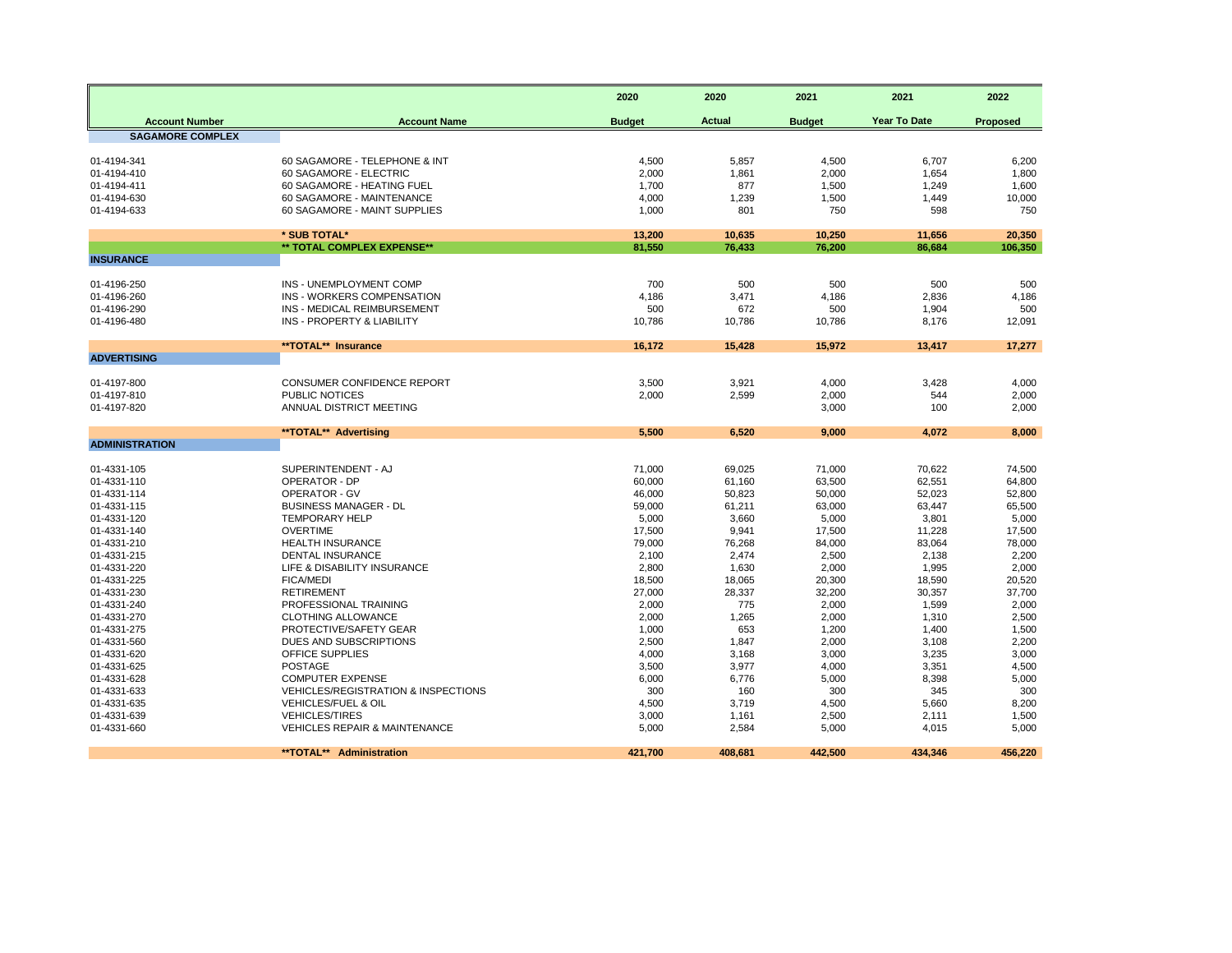| <b>Actual</b><br><b>Year To Date</b><br><b>Account Number</b><br><b>Account Name</b><br><b>Budget</b><br><b>Budget</b><br>Proposed<br><b>SAGAMORE COMPLEX</b><br>60 SAGAMORE - TELEPHONE & INT<br>4,500<br>01-4194-341<br>5,857<br>4,500<br>6,707<br>6,200<br>60 SAGAMORE - ELECTRIC<br>2,000<br>1,800<br>01-4194-410<br>1,861<br>2,000<br>1,654<br>01-4194-411<br>60 SAGAMORE - HEATING FUEL<br>1,700<br>877<br>1,500<br>1,249<br>1,600<br>60 SAGAMORE - MAINTENANCE<br>4,000<br>10,000<br>01-4194-630<br>1,239<br>1,500<br>1,449<br>1,000<br>750<br>01-4194-633<br>60 SAGAMORE - MAINT SUPPLIES<br>801<br>750<br>598<br>* SUB TOTAL*<br>20,350<br>13,200<br>10,635<br>10,250<br>11,656<br>** TOTAL COMPLEX EXPENSE**<br>81,550<br>76,433<br>76,200<br>86,684<br>106,350<br><b>INSURANCE</b><br>01-4196-250<br>INS - UNEMPLOYMENT COMP<br>700<br>500<br>500<br>500<br>500<br>INS - WORKERS COMPENSATION<br>4,186<br>01-4196-260<br>3,471<br>4,186<br>2,836<br>4,186<br>01-4196-290<br>INS - MEDICAL REIMBURSEMENT<br>500<br>672<br>500<br>500<br>1,904<br>INS - PROPERTY & LIABILITY<br>01-4196-480<br>10,786<br>10,786<br>12,091<br>10,786<br>8,176<br>**TOTAL** Insurance<br>16.172<br>15,428<br>15.972<br>13,417<br>17,277<br><b>ADVERTISING</b><br>01-4197-800<br>CONSUMER CONFIDENCE REPORT<br>3,500<br>3,921<br>3,428<br>4,000<br>4,000<br>PUBLIC NOTICES<br>01-4197-810<br>2,000<br>2,599<br>2,000<br>2,000<br>544<br>01-4197-820<br>ANNUAL DISTRICT MEETING<br>3,000<br>100<br>2,000<br>6,520<br>**TOTAL** Advertising<br>5,500<br>9,000<br>4,072<br>8,000<br><b>ADMINISTRATION</b><br>01-4331-105<br>SUPERINTENDENT - AJ<br>71,000<br>69,025<br>71,000<br>70,622<br>74,500<br><b>OPERATOR - DP</b><br>01-4331-110<br>60,000<br>61,160<br>63,500<br>62,551<br>64,800<br>01-4331-114<br><b>OPERATOR - GV</b><br>46.000<br>50,823<br>52.023<br>52,800<br>50,000<br>01-4331-115<br><b>BUSINESS MANAGER - DL</b><br>59,000<br>61,211<br>63,447<br>65,500<br>63,000<br>01-4331-120<br><b>TEMPORARY HELP</b><br>5,000<br>3,660<br>5,000<br>3,801<br>5,000<br><b>OVERTIME</b><br>01-4331-140<br>17,500<br>9,941<br>11,228<br>17,500<br>17,500<br>79,000<br>83,064<br>78,000<br>01-4331-210<br><b>HEALTH INSURANCE</b><br>76,268<br>84,000<br><b>DENTAL INSURANCE</b><br>2,100<br>2,200<br>01-4331-215<br>2,474<br>2,500<br>2,138<br>01-4331-220<br>LIFE & DISABILITY INSURANCE<br>2,800<br>1,630<br>1,995<br>2,000<br>2,000<br>01-4331-225<br><b>FICA/MEDI</b><br>20,520<br>18,500<br>18,065<br>20,300<br>18,590<br>01-4331-230<br><b>RETIREMENT</b><br>27,000<br>28,337<br>37,700<br>32,200<br>30,357<br>PROFESSIONAL TRAINING<br>2,000<br>775<br>2,000<br>01-4331-240<br>2,000<br>1,599<br>01-4331-270<br><b>CLOTHING ALLOWANCE</b><br>2,500<br>2,000<br>1,265<br>2,000<br>1,310<br>PROTECTIVE/SAFETY GEAR<br>653<br>1,500<br>01-4331-275<br>1,000<br>1,200<br>1,400<br>2,200<br>01-4331-560<br>DUES AND SUBSCRIPTIONS<br>2,500<br>1,847<br>2,000<br>3,108<br>OFFICE SUPPLIES<br>3,000<br>01-4331-620<br>4,000<br>3,168<br>3,000<br>3,235<br><b>POSTAGE</b><br>01-4331-625<br>3,500<br>3,977<br>4,000<br>3,351<br>4,500<br><b>COMPUTER EXPENSE</b><br>6,000<br>8,398<br>5,000<br>01-4331-628<br>6,776<br>5,000<br>01-4331-633<br><b>VEHICLES/REGISTRATION &amp; INSPECTIONS</b><br>300<br>160<br>345<br>300<br>300<br>01-4331-635<br>VEHICLES/FUEL & OIL<br>4,500<br>3,719<br>8,200<br>4,500<br>5,660<br>01-4331-639<br><b>VEHICLES/TIRES</b><br>3,000<br>2,500<br>2,111<br>1,500<br>1,161<br>5,000<br>01-4331-660<br><b>VEHICLES REPAIR &amp; MAINTENANCE</b><br>5,000<br>2,584<br>4,015<br>5,000<br>**TOTAL** Administration<br>421,700<br>442,500<br>434,346<br>456,220<br>408,681 |  | 2020 | 2020 | 2021 | 2021 | 2022 |
|-------------------------------------------------------------------------------------------------------------------------------------------------------------------------------------------------------------------------------------------------------------------------------------------------------------------------------------------------------------------------------------------------------------------------------------------------------------------------------------------------------------------------------------------------------------------------------------------------------------------------------------------------------------------------------------------------------------------------------------------------------------------------------------------------------------------------------------------------------------------------------------------------------------------------------------------------------------------------------------------------------------------------------------------------------------------------------------------------------------------------------------------------------------------------------------------------------------------------------------------------------------------------------------------------------------------------------------------------------------------------------------------------------------------------------------------------------------------------------------------------------------------------------------------------------------------------------------------------------------------------------------------------------------------------------------------------------------------------------------------------------------------------------------------------------------------------------------------------------------------------------------------------------------------------------------------------------------------------------------------------------------------------------------------------------------------------------------------------------------------------------------------------------------------------------------------------------------------------------------------------------------------------------------------------------------------------------------------------------------------------------------------------------------------------------------------------------------------------------------------------------------------------------------------------------------------------------------------------------------------------------------------------------------------------------------------------------------------------------------------------------------------------------------------------------------------------------------------------------------------------------------------------------------------------------------------------------------------------------------------------------------------------------------------------------------------------------------------------------------------------------------------------------------------------------------------------------------------------------------------------------------------------------------------------------------------------------------------------------------------------------------------------------------------------------------------------------------------------------------------------------------------------------------------------------------------------------------------------------------------------------------------------------------------------------------------|--|------|------|------|------|------|
|                                                                                                                                                                                                                                                                                                                                                                                                                                                                                                                                                                                                                                                                                                                                                                                                                                                                                                                                                                                                                                                                                                                                                                                                                                                                                                                                                                                                                                                                                                                                                                                                                                                                                                                                                                                                                                                                                                                                                                                                                                                                                                                                                                                                                                                                                                                                                                                                                                                                                                                                                                                                                                                                                                                                                                                                                                                                                                                                                                                                                                                                                                                                                                                                                                                                                                                                                                                                                                                                                                                                                                                                                                                                                           |  |      |      |      |      |      |
|                                                                                                                                                                                                                                                                                                                                                                                                                                                                                                                                                                                                                                                                                                                                                                                                                                                                                                                                                                                                                                                                                                                                                                                                                                                                                                                                                                                                                                                                                                                                                                                                                                                                                                                                                                                                                                                                                                                                                                                                                                                                                                                                                                                                                                                                                                                                                                                                                                                                                                                                                                                                                                                                                                                                                                                                                                                                                                                                                                                                                                                                                                                                                                                                                                                                                                                                                                                                                                                                                                                                                                                                                                                                                           |  |      |      |      |      |      |
|                                                                                                                                                                                                                                                                                                                                                                                                                                                                                                                                                                                                                                                                                                                                                                                                                                                                                                                                                                                                                                                                                                                                                                                                                                                                                                                                                                                                                                                                                                                                                                                                                                                                                                                                                                                                                                                                                                                                                                                                                                                                                                                                                                                                                                                                                                                                                                                                                                                                                                                                                                                                                                                                                                                                                                                                                                                                                                                                                                                                                                                                                                                                                                                                                                                                                                                                                                                                                                                                                                                                                                                                                                                                                           |  |      |      |      |      |      |
|                                                                                                                                                                                                                                                                                                                                                                                                                                                                                                                                                                                                                                                                                                                                                                                                                                                                                                                                                                                                                                                                                                                                                                                                                                                                                                                                                                                                                                                                                                                                                                                                                                                                                                                                                                                                                                                                                                                                                                                                                                                                                                                                                                                                                                                                                                                                                                                                                                                                                                                                                                                                                                                                                                                                                                                                                                                                                                                                                                                                                                                                                                                                                                                                                                                                                                                                                                                                                                                                                                                                                                                                                                                                                           |  |      |      |      |      |      |
|                                                                                                                                                                                                                                                                                                                                                                                                                                                                                                                                                                                                                                                                                                                                                                                                                                                                                                                                                                                                                                                                                                                                                                                                                                                                                                                                                                                                                                                                                                                                                                                                                                                                                                                                                                                                                                                                                                                                                                                                                                                                                                                                                                                                                                                                                                                                                                                                                                                                                                                                                                                                                                                                                                                                                                                                                                                                                                                                                                                                                                                                                                                                                                                                                                                                                                                                                                                                                                                                                                                                                                                                                                                                                           |  |      |      |      |      |      |
|                                                                                                                                                                                                                                                                                                                                                                                                                                                                                                                                                                                                                                                                                                                                                                                                                                                                                                                                                                                                                                                                                                                                                                                                                                                                                                                                                                                                                                                                                                                                                                                                                                                                                                                                                                                                                                                                                                                                                                                                                                                                                                                                                                                                                                                                                                                                                                                                                                                                                                                                                                                                                                                                                                                                                                                                                                                                                                                                                                                                                                                                                                                                                                                                                                                                                                                                                                                                                                                                                                                                                                                                                                                                                           |  |      |      |      |      |      |
|                                                                                                                                                                                                                                                                                                                                                                                                                                                                                                                                                                                                                                                                                                                                                                                                                                                                                                                                                                                                                                                                                                                                                                                                                                                                                                                                                                                                                                                                                                                                                                                                                                                                                                                                                                                                                                                                                                                                                                                                                                                                                                                                                                                                                                                                                                                                                                                                                                                                                                                                                                                                                                                                                                                                                                                                                                                                                                                                                                                                                                                                                                                                                                                                                                                                                                                                                                                                                                                                                                                                                                                                                                                                                           |  |      |      |      |      |      |
|                                                                                                                                                                                                                                                                                                                                                                                                                                                                                                                                                                                                                                                                                                                                                                                                                                                                                                                                                                                                                                                                                                                                                                                                                                                                                                                                                                                                                                                                                                                                                                                                                                                                                                                                                                                                                                                                                                                                                                                                                                                                                                                                                                                                                                                                                                                                                                                                                                                                                                                                                                                                                                                                                                                                                                                                                                                                                                                                                                                                                                                                                                                                                                                                                                                                                                                                                                                                                                                                                                                                                                                                                                                                                           |  |      |      |      |      |      |
|                                                                                                                                                                                                                                                                                                                                                                                                                                                                                                                                                                                                                                                                                                                                                                                                                                                                                                                                                                                                                                                                                                                                                                                                                                                                                                                                                                                                                                                                                                                                                                                                                                                                                                                                                                                                                                                                                                                                                                                                                                                                                                                                                                                                                                                                                                                                                                                                                                                                                                                                                                                                                                                                                                                                                                                                                                                                                                                                                                                                                                                                                                                                                                                                                                                                                                                                                                                                                                                                                                                                                                                                                                                                                           |  |      |      |      |      |      |
|                                                                                                                                                                                                                                                                                                                                                                                                                                                                                                                                                                                                                                                                                                                                                                                                                                                                                                                                                                                                                                                                                                                                                                                                                                                                                                                                                                                                                                                                                                                                                                                                                                                                                                                                                                                                                                                                                                                                                                                                                                                                                                                                                                                                                                                                                                                                                                                                                                                                                                                                                                                                                                                                                                                                                                                                                                                                                                                                                                                                                                                                                                                                                                                                                                                                                                                                                                                                                                                                                                                                                                                                                                                                                           |  |      |      |      |      |      |
|                                                                                                                                                                                                                                                                                                                                                                                                                                                                                                                                                                                                                                                                                                                                                                                                                                                                                                                                                                                                                                                                                                                                                                                                                                                                                                                                                                                                                                                                                                                                                                                                                                                                                                                                                                                                                                                                                                                                                                                                                                                                                                                                                                                                                                                                                                                                                                                                                                                                                                                                                                                                                                                                                                                                                                                                                                                                                                                                                                                                                                                                                                                                                                                                                                                                                                                                                                                                                                                                                                                                                                                                                                                                                           |  |      |      |      |      |      |
|                                                                                                                                                                                                                                                                                                                                                                                                                                                                                                                                                                                                                                                                                                                                                                                                                                                                                                                                                                                                                                                                                                                                                                                                                                                                                                                                                                                                                                                                                                                                                                                                                                                                                                                                                                                                                                                                                                                                                                                                                                                                                                                                                                                                                                                                                                                                                                                                                                                                                                                                                                                                                                                                                                                                                                                                                                                                                                                                                                                                                                                                                                                                                                                                                                                                                                                                                                                                                                                                                                                                                                                                                                                                                           |  |      |      |      |      |      |
|                                                                                                                                                                                                                                                                                                                                                                                                                                                                                                                                                                                                                                                                                                                                                                                                                                                                                                                                                                                                                                                                                                                                                                                                                                                                                                                                                                                                                                                                                                                                                                                                                                                                                                                                                                                                                                                                                                                                                                                                                                                                                                                                                                                                                                                                                                                                                                                                                                                                                                                                                                                                                                                                                                                                                                                                                                                                                                                                                                                                                                                                                                                                                                                                                                                                                                                                                                                                                                                                                                                                                                                                                                                                                           |  |      |      |      |      |      |
|                                                                                                                                                                                                                                                                                                                                                                                                                                                                                                                                                                                                                                                                                                                                                                                                                                                                                                                                                                                                                                                                                                                                                                                                                                                                                                                                                                                                                                                                                                                                                                                                                                                                                                                                                                                                                                                                                                                                                                                                                                                                                                                                                                                                                                                                                                                                                                                                                                                                                                                                                                                                                                                                                                                                                                                                                                                                                                                                                                                                                                                                                                                                                                                                                                                                                                                                                                                                                                                                                                                                                                                                                                                                                           |  |      |      |      |      |      |
|                                                                                                                                                                                                                                                                                                                                                                                                                                                                                                                                                                                                                                                                                                                                                                                                                                                                                                                                                                                                                                                                                                                                                                                                                                                                                                                                                                                                                                                                                                                                                                                                                                                                                                                                                                                                                                                                                                                                                                                                                                                                                                                                                                                                                                                                                                                                                                                                                                                                                                                                                                                                                                                                                                                                                                                                                                                                                                                                                                                                                                                                                                                                                                                                                                                                                                                                                                                                                                                                                                                                                                                                                                                                                           |  |      |      |      |      |      |
|                                                                                                                                                                                                                                                                                                                                                                                                                                                                                                                                                                                                                                                                                                                                                                                                                                                                                                                                                                                                                                                                                                                                                                                                                                                                                                                                                                                                                                                                                                                                                                                                                                                                                                                                                                                                                                                                                                                                                                                                                                                                                                                                                                                                                                                                                                                                                                                                                                                                                                                                                                                                                                                                                                                                                                                                                                                                                                                                                                                                                                                                                                                                                                                                                                                                                                                                                                                                                                                                                                                                                                                                                                                                                           |  |      |      |      |      |      |
|                                                                                                                                                                                                                                                                                                                                                                                                                                                                                                                                                                                                                                                                                                                                                                                                                                                                                                                                                                                                                                                                                                                                                                                                                                                                                                                                                                                                                                                                                                                                                                                                                                                                                                                                                                                                                                                                                                                                                                                                                                                                                                                                                                                                                                                                                                                                                                                                                                                                                                                                                                                                                                                                                                                                                                                                                                                                                                                                                                                                                                                                                                                                                                                                                                                                                                                                                                                                                                                                                                                                                                                                                                                                                           |  |      |      |      |      |      |
|                                                                                                                                                                                                                                                                                                                                                                                                                                                                                                                                                                                                                                                                                                                                                                                                                                                                                                                                                                                                                                                                                                                                                                                                                                                                                                                                                                                                                                                                                                                                                                                                                                                                                                                                                                                                                                                                                                                                                                                                                                                                                                                                                                                                                                                                                                                                                                                                                                                                                                                                                                                                                                                                                                                                                                                                                                                                                                                                                                                                                                                                                                                                                                                                                                                                                                                                                                                                                                                                                                                                                                                                                                                                                           |  |      |      |      |      |      |
|                                                                                                                                                                                                                                                                                                                                                                                                                                                                                                                                                                                                                                                                                                                                                                                                                                                                                                                                                                                                                                                                                                                                                                                                                                                                                                                                                                                                                                                                                                                                                                                                                                                                                                                                                                                                                                                                                                                                                                                                                                                                                                                                                                                                                                                                                                                                                                                                                                                                                                                                                                                                                                                                                                                                                                                                                                                                                                                                                                                                                                                                                                                                                                                                                                                                                                                                                                                                                                                                                                                                                                                                                                                                                           |  |      |      |      |      |      |
|                                                                                                                                                                                                                                                                                                                                                                                                                                                                                                                                                                                                                                                                                                                                                                                                                                                                                                                                                                                                                                                                                                                                                                                                                                                                                                                                                                                                                                                                                                                                                                                                                                                                                                                                                                                                                                                                                                                                                                                                                                                                                                                                                                                                                                                                                                                                                                                                                                                                                                                                                                                                                                                                                                                                                                                                                                                                                                                                                                                                                                                                                                                                                                                                                                                                                                                                                                                                                                                                                                                                                                                                                                                                                           |  |      |      |      |      |      |
|                                                                                                                                                                                                                                                                                                                                                                                                                                                                                                                                                                                                                                                                                                                                                                                                                                                                                                                                                                                                                                                                                                                                                                                                                                                                                                                                                                                                                                                                                                                                                                                                                                                                                                                                                                                                                                                                                                                                                                                                                                                                                                                                                                                                                                                                                                                                                                                                                                                                                                                                                                                                                                                                                                                                                                                                                                                                                                                                                                                                                                                                                                                                                                                                                                                                                                                                                                                                                                                                                                                                                                                                                                                                                           |  |      |      |      |      |      |
|                                                                                                                                                                                                                                                                                                                                                                                                                                                                                                                                                                                                                                                                                                                                                                                                                                                                                                                                                                                                                                                                                                                                                                                                                                                                                                                                                                                                                                                                                                                                                                                                                                                                                                                                                                                                                                                                                                                                                                                                                                                                                                                                                                                                                                                                                                                                                                                                                                                                                                                                                                                                                                                                                                                                                                                                                                                                                                                                                                                                                                                                                                                                                                                                                                                                                                                                                                                                                                                                                                                                                                                                                                                                                           |  |      |      |      |      |      |
|                                                                                                                                                                                                                                                                                                                                                                                                                                                                                                                                                                                                                                                                                                                                                                                                                                                                                                                                                                                                                                                                                                                                                                                                                                                                                                                                                                                                                                                                                                                                                                                                                                                                                                                                                                                                                                                                                                                                                                                                                                                                                                                                                                                                                                                                                                                                                                                                                                                                                                                                                                                                                                                                                                                                                                                                                                                                                                                                                                                                                                                                                                                                                                                                                                                                                                                                                                                                                                                                                                                                                                                                                                                                                           |  |      |      |      |      |      |
|                                                                                                                                                                                                                                                                                                                                                                                                                                                                                                                                                                                                                                                                                                                                                                                                                                                                                                                                                                                                                                                                                                                                                                                                                                                                                                                                                                                                                                                                                                                                                                                                                                                                                                                                                                                                                                                                                                                                                                                                                                                                                                                                                                                                                                                                                                                                                                                                                                                                                                                                                                                                                                                                                                                                                                                                                                                                                                                                                                                                                                                                                                                                                                                                                                                                                                                                                                                                                                                                                                                                                                                                                                                                                           |  |      |      |      |      |      |
|                                                                                                                                                                                                                                                                                                                                                                                                                                                                                                                                                                                                                                                                                                                                                                                                                                                                                                                                                                                                                                                                                                                                                                                                                                                                                                                                                                                                                                                                                                                                                                                                                                                                                                                                                                                                                                                                                                                                                                                                                                                                                                                                                                                                                                                                                                                                                                                                                                                                                                                                                                                                                                                                                                                                                                                                                                                                                                                                                                                                                                                                                                                                                                                                                                                                                                                                                                                                                                                                                                                                                                                                                                                                                           |  |      |      |      |      |      |
|                                                                                                                                                                                                                                                                                                                                                                                                                                                                                                                                                                                                                                                                                                                                                                                                                                                                                                                                                                                                                                                                                                                                                                                                                                                                                                                                                                                                                                                                                                                                                                                                                                                                                                                                                                                                                                                                                                                                                                                                                                                                                                                                                                                                                                                                                                                                                                                                                                                                                                                                                                                                                                                                                                                                                                                                                                                                                                                                                                                                                                                                                                                                                                                                                                                                                                                                                                                                                                                                                                                                                                                                                                                                                           |  |      |      |      |      |      |
|                                                                                                                                                                                                                                                                                                                                                                                                                                                                                                                                                                                                                                                                                                                                                                                                                                                                                                                                                                                                                                                                                                                                                                                                                                                                                                                                                                                                                                                                                                                                                                                                                                                                                                                                                                                                                                                                                                                                                                                                                                                                                                                                                                                                                                                                                                                                                                                                                                                                                                                                                                                                                                                                                                                                                                                                                                                                                                                                                                                                                                                                                                                                                                                                                                                                                                                                                                                                                                                                                                                                                                                                                                                                                           |  |      |      |      |      |      |
|                                                                                                                                                                                                                                                                                                                                                                                                                                                                                                                                                                                                                                                                                                                                                                                                                                                                                                                                                                                                                                                                                                                                                                                                                                                                                                                                                                                                                                                                                                                                                                                                                                                                                                                                                                                                                                                                                                                                                                                                                                                                                                                                                                                                                                                                                                                                                                                                                                                                                                                                                                                                                                                                                                                                                                                                                                                                                                                                                                                                                                                                                                                                                                                                                                                                                                                                                                                                                                                                                                                                                                                                                                                                                           |  |      |      |      |      |      |
|                                                                                                                                                                                                                                                                                                                                                                                                                                                                                                                                                                                                                                                                                                                                                                                                                                                                                                                                                                                                                                                                                                                                                                                                                                                                                                                                                                                                                                                                                                                                                                                                                                                                                                                                                                                                                                                                                                                                                                                                                                                                                                                                                                                                                                                                                                                                                                                                                                                                                                                                                                                                                                                                                                                                                                                                                                                                                                                                                                                                                                                                                                                                                                                                                                                                                                                                                                                                                                                                                                                                                                                                                                                                                           |  |      |      |      |      |      |
|                                                                                                                                                                                                                                                                                                                                                                                                                                                                                                                                                                                                                                                                                                                                                                                                                                                                                                                                                                                                                                                                                                                                                                                                                                                                                                                                                                                                                                                                                                                                                                                                                                                                                                                                                                                                                                                                                                                                                                                                                                                                                                                                                                                                                                                                                                                                                                                                                                                                                                                                                                                                                                                                                                                                                                                                                                                                                                                                                                                                                                                                                                                                                                                                                                                                                                                                                                                                                                                                                                                                                                                                                                                                                           |  |      |      |      |      |      |
|                                                                                                                                                                                                                                                                                                                                                                                                                                                                                                                                                                                                                                                                                                                                                                                                                                                                                                                                                                                                                                                                                                                                                                                                                                                                                                                                                                                                                                                                                                                                                                                                                                                                                                                                                                                                                                                                                                                                                                                                                                                                                                                                                                                                                                                                                                                                                                                                                                                                                                                                                                                                                                                                                                                                                                                                                                                                                                                                                                                                                                                                                                                                                                                                                                                                                                                                                                                                                                                                                                                                                                                                                                                                                           |  |      |      |      |      |      |
|                                                                                                                                                                                                                                                                                                                                                                                                                                                                                                                                                                                                                                                                                                                                                                                                                                                                                                                                                                                                                                                                                                                                                                                                                                                                                                                                                                                                                                                                                                                                                                                                                                                                                                                                                                                                                                                                                                                                                                                                                                                                                                                                                                                                                                                                                                                                                                                                                                                                                                                                                                                                                                                                                                                                                                                                                                                                                                                                                                                                                                                                                                                                                                                                                                                                                                                                                                                                                                                                                                                                                                                                                                                                                           |  |      |      |      |      |      |
|                                                                                                                                                                                                                                                                                                                                                                                                                                                                                                                                                                                                                                                                                                                                                                                                                                                                                                                                                                                                                                                                                                                                                                                                                                                                                                                                                                                                                                                                                                                                                                                                                                                                                                                                                                                                                                                                                                                                                                                                                                                                                                                                                                                                                                                                                                                                                                                                                                                                                                                                                                                                                                                                                                                                                                                                                                                                                                                                                                                                                                                                                                                                                                                                                                                                                                                                                                                                                                                                                                                                                                                                                                                                                           |  |      |      |      |      |      |
|                                                                                                                                                                                                                                                                                                                                                                                                                                                                                                                                                                                                                                                                                                                                                                                                                                                                                                                                                                                                                                                                                                                                                                                                                                                                                                                                                                                                                                                                                                                                                                                                                                                                                                                                                                                                                                                                                                                                                                                                                                                                                                                                                                                                                                                                                                                                                                                                                                                                                                                                                                                                                                                                                                                                                                                                                                                                                                                                                                                                                                                                                                                                                                                                                                                                                                                                                                                                                                                                                                                                                                                                                                                                                           |  |      |      |      |      |      |
|                                                                                                                                                                                                                                                                                                                                                                                                                                                                                                                                                                                                                                                                                                                                                                                                                                                                                                                                                                                                                                                                                                                                                                                                                                                                                                                                                                                                                                                                                                                                                                                                                                                                                                                                                                                                                                                                                                                                                                                                                                                                                                                                                                                                                                                                                                                                                                                                                                                                                                                                                                                                                                                                                                                                                                                                                                                                                                                                                                                                                                                                                                                                                                                                                                                                                                                                                                                                                                                                                                                                                                                                                                                                                           |  |      |      |      |      |      |
|                                                                                                                                                                                                                                                                                                                                                                                                                                                                                                                                                                                                                                                                                                                                                                                                                                                                                                                                                                                                                                                                                                                                                                                                                                                                                                                                                                                                                                                                                                                                                                                                                                                                                                                                                                                                                                                                                                                                                                                                                                                                                                                                                                                                                                                                                                                                                                                                                                                                                                                                                                                                                                                                                                                                                                                                                                                                                                                                                                                                                                                                                                                                                                                                                                                                                                                                                                                                                                                                                                                                                                                                                                                                                           |  |      |      |      |      |      |
|                                                                                                                                                                                                                                                                                                                                                                                                                                                                                                                                                                                                                                                                                                                                                                                                                                                                                                                                                                                                                                                                                                                                                                                                                                                                                                                                                                                                                                                                                                                                                                                                                                                                                                                                                                                                                                                                                                                                                                                                                                                                                                                                                                                                                                                                                                                                                                                                                                                                                                                                                                                                                                                                                                                                                                                                                                                                                                                                                                                                                                                                                                                                                                                                                                                                                                                                                                                                                                                                                                                                                                                                                                                                                           |  |      |      |      |      |      |
|                                                                                                                                                                                                                                                                                                                                                                                                                                                                                                                                                                                                                                                                                                                                                                                                                                                                                                                                                                                                                                                                                                                                                                                                                                                                                                                                                                                                                                                                                                                                                                                                                                                                                                                                                                                                                                                                                                                                                                                                                                                                                                                                                                                                                                                                                                                                                                                                                                                                                                                                                                                                                                                                                                                                                                                                                                                                                                                                                                                                                                                                                                                                                                                                                                                                                                                                                                                                                                                                                                                                                                                                                                                                                           |  |      |      |      |      |      |
|                                                                                                                                                                                                                                                                                                                                                                                                                                                                                                                                                                                                                                                                                                                                                                                                                                                                                                                                                                                                                                                                                                                                                                                                                                                                                                                                                                                                                                                                                                                                                                                                                                                                                                                                                                                                                                                                                                                                                                                                                                                                                                                                                                                                                                                                                                                                                                                                                                                                                                                                                                                                                                                                                                                                                                                                                                                                                                                                                                                                                                                                                                                                                                                                                                                                                                                                                                                                                                                                                                                                                                                                                                                                                           |  |      |      |      |      |      |
|                                                                                                                                                                                                                                                                                                                                                                                                                                                                                                                                                                                                                                                                                                                                                                                                                                                                                                                                                                                                                                                                                                                                                                                                                                                                                                                                                                                                                                                                                                                                                                                                                                                                                                                                                                                                                                                                                                                                                                                                                                                                                                                                                                                                                                                                                                                                                                                                                                                                                                                                                                                                                                                                                                                                                                                                                                                                                                                                                                                                                                                                                                                                                                                                                                                                                                                                                                                                                                                                                                                                                                                                                                                                                           |  |      |      |      |      |      |
|                                                                                                                                                                                                                                                                                                                                                                                                                                                                                                                                                                                                                                                                                                                                                                                                                                                                                                                                                                                                                                                                                                                                                                                                                                                                                                                                                                                                                                                                                                                                                                                                                                                                                                                                                                                                                                                                                                                                                                                                                                                                                                                                                                                                                                                                                                                                                                                                                                                                                                                                                                                                                                                                                                                                                                                                                                                                                                                                                                                                                                                                                                                                                                                                                                                                                                                                                                                                                                                                                                                                                                                                                                                                                           |  |      |      |      |      |      |
|                                                                                                                                                                                                                                                                                                                                                                                                                                                                                                                                                                                                                                                                                                                                                                                                                                                                                                                                                                                                                                                                                                                                                                                                                                                                                                                                                                                                                                                                                                                                                                                                                                                                                                                                                                                                                                                                                                                                                                                                                                                                                                                                                                                                                                                                                                                                                                                                                                                                                                                                                                                                                                                                                                                                                                                                                                                                                                                                                                                                                                                                                                                                                                                                                                                                                                                                                                                                                                                                                                                                                                                                                                                                                           |  |      |      |      |      |      |
|                                                                                                                                                                                                                                                                                                                                                                                                                                                                                                                                                                                                                                                                                                                                                                                                                                                                                                                                                                                                                                                                                                                                                                                                                                                                                                                                                                                                                                                                                                                                                                                                                                                                                                                                                                                                                                                                                                                                                                                                                                                                                                                                                                                                                                                                                                                                                                                                                                                                                                                                                                                                                                                                                                                                                                                                                                                                                                                                                                                                                                                                                                                                                                                                                                                                                                                                                                                                                                                                                                                                                                                                                                                                                           |  |      |      |      |      |      |
|                                                                                                                                                                                                                                                                                                                                                                                                                                                                                                                                                                                                                                                                                                                                                                                                                                                                                                                                                                                                                                                                                                                                                                                                                                                                                                                                                                                                                                                                                                                                                                                                                                                                                                                                                                                                                                                                                                                                                                                                                                                                                                                                                                                                                                                                                                                                                                                                                                                                                                                                                                                                                                                                                                                                                                                                                                                                                                                                                                                                                                                                                                                                                                                                                                                                                                                                                                                                                                                                                                                                                                                                                                                                                           |  |      |      |      |      |      |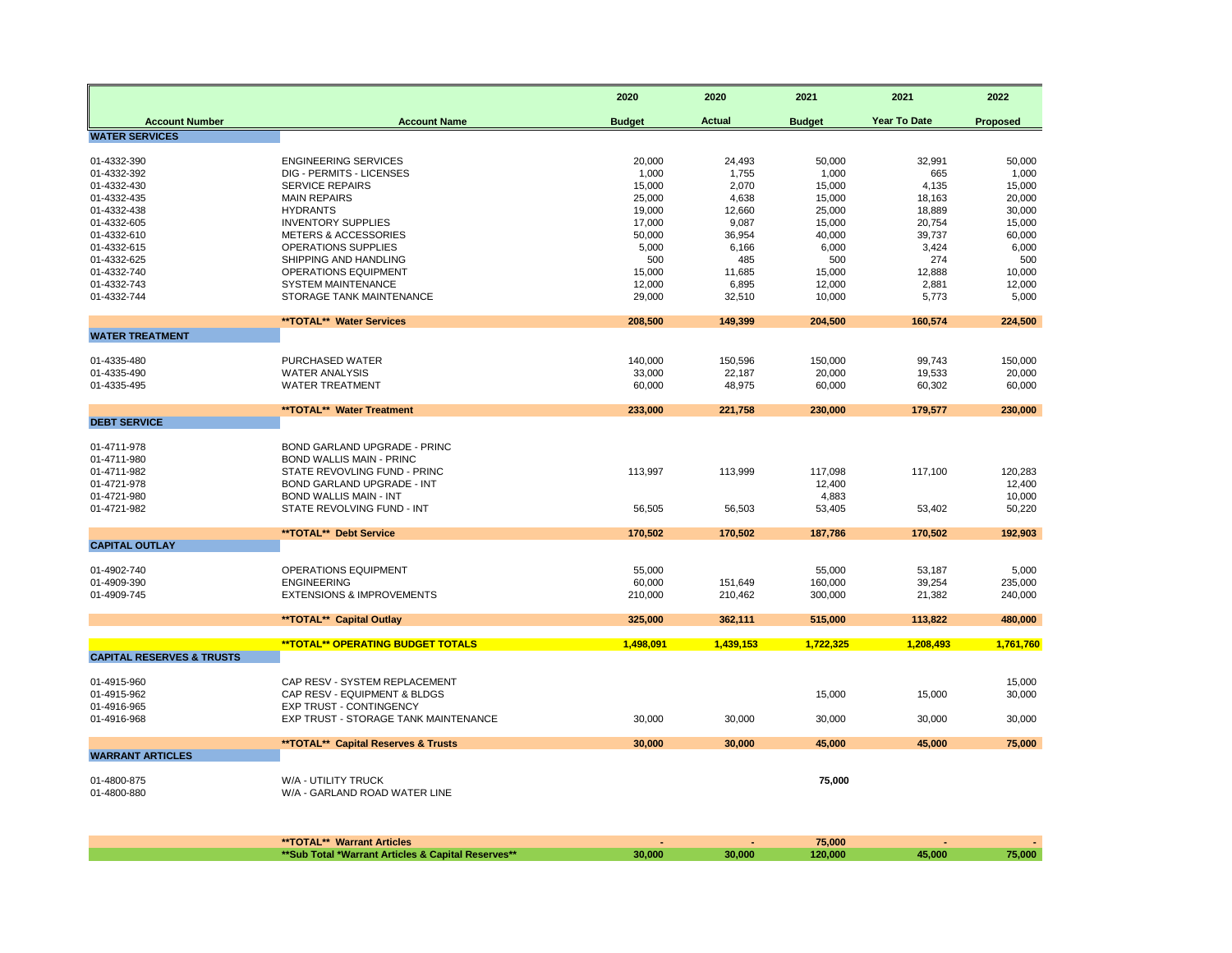|                                      |                                                | 2020          | 2020          | 2021          | 2021         | 2022            |
|--------------------------------------|------------------------------------------------|---------------|---------------|---------------|--------------|-----------------|
| <b>Account Number</b>                | <b>Account Name</b>                            | <b>Budget</b> | <b>Actual</b> | <b>Budget</b> | Year To Date | <b>Proposed</b> |
| <b>WATER SERVICES</b>                |                                                |               |               |               |              |                 |
| 01-4332-390                          | <b>ENGINEERING SERVICES</b>                    | 20,000        | 24,493        | 50,000        | 32,991       | 50,000          |
| 01-4332-392                          | DIG - PERMITS - LICENSES                       | 1,000         | 1,755         | 1,000         | 665          | 1,000           |
| 01-4332-430                          | <b>SERVICE REPAIRS</b>                         | 15,000        | 2,070         | 15,000        | 4,135        | 15,000          |
| 01-4332-435                          | <b>MAIN REPAIRS</b>                            | 25,000        | 4,638         | 15,000        | 18,163       | 20,000          |
| 01-4332-438                          | <b>HYDRANTS</b>                                | 19,000        | 12,660        | 25,000        | 18,889       | 30,000          |
| 01-4332-605                          | <b>INVENTORY SUPPLIES</b>                      | 17,000        | 9,087         | 15,000        | 20,754       | 15,000          |
| 01-4332-610                          | <b>METERS &amp; ACCESSORIES</b>                | 50,000        | 36,954        | 40,000        | 39,737       | 60,000          |
| 01-4332-615<br>01-4332-625           | OPERATIONS SUPPLIES<br>SHIPPING AND HANDLING   | 5,000<br>500  | 6,166<br>485  | 6,000<br>500  | 3,424<br>274 | 6,000<br>500    |
| 01-4332-740                          | <b>OPERATIONS EQUIPMENT</b>                    | 15,000        | 11,685        | 15,000        | 12,888       | 10,000          |
| 01-4332-743                          | <b>SYSTEM MAINTENANCE</b>                      | 12,000        | 6,895         | 12,000        | 2,881        | 12,000          |
| 01-4332-744                          | STORAGE TANK MAINTENANCE                       | 29,000        | 32,510        | 10,000        | 5,773        | 5,000           |
|                                      |                                                |               |               |               |              |                 |
|                                      | **TOTAL** Water Services                       | 208,500       | 149,399       | 204,500       | 160,574      | 224,500         |
| <b>WATER TREATMENT</b>               |                                                |               |               |               |              |                 |
| 01-4335-480                          | PURCHASED WATER                                | 140,000       | 150,596       | 150,000       | 99,743       | 150,000         |
| 01-4335-490                          | <b>WATER ANALYSIS</b>                          | 33,000        | 22,187        | 20,000        | 19,533       | 20,000          |
| 01-4335-495                          | <b>WATER TREATMENT</b>                         | 60,000        | 48,975        | 60,000        | 60,302       | 60,000          |
|                                      |                                                |               |               |               |              |                 |
| <b>DEBT SERVICE</b>                  | **TOTAL** Water Treatment                      | 233,000       | 221,758       | 230,000       | 179,577      | 230,000         |
|                                      |                                                |               |               |               |              |                 |
| 01-4711-978                          | BOND GARLAND UPGRADE - PRINC                   |               |               |               |              |                 |
| 01-4711-980                          | <b>BOND WALLIS MAIN - PRINC</b>                |               |               |               |              |                 |
| 01-4711-982                          | STATE REVOVLING FUND - PRINC                   | 113,997       | 113,999       | 117,098       | 117,100      | 120,283         |
| 01-4721-978                          | <b>BOND GARLAND UPGRADE - INT</b>              |               |               | 12,400        |              | 12,400          |
| 01-4721-980                          | <b>BOND WALLIS MAIN - INT</b>                  |               |               | 4,883         |              | 10,000          |
| 01-4721-982                          | STATE REVOLVING FUND - INT                     | 56,505        | 56,503        | 53,405        | 53,402       | 50,220          |
|                                      | **TOTAL** Debt Service                         | 170,502       | 170,502       | 187,786       | 170.502      | 192,903         |
| <b>CAPITAL OUTLAY</b>                |                                                |               |               |               |              |                 |
| 01-4902-740                          | OPERATIONS EQUIPMENT                           | 55,000        |               | 55,000        | 53,187       | 5,000           |
| 01-4909-390                          | <b>ENGINEERING</b>                             | 60,000        | 151,649       | 160,000       | 39,254       | 235,000         |
| 01-4909-745                          | <b>EXTENSIONS &amp; IMPROVEMENTS</b>           | 210,000       | 210,462       | 300,000       | 21,382       | 240,000         |
|                                      |                                                |               |               |               |              |                 |
|                                      | **TOTAL** Capital Outlay                       | 325,000       | 362,111       | 515,000       | 113,822      | 480,000         |
|                                      | <b>**TOTAL** OPERATING BUDGET TOTALS</b>       | 1,498,091     | 1,439,153     | 1,722,325     | 1,208,493    | 1,761,760       |
| <b>CAPITAL RESERVES &amp; TRUSTS</b> |                                                |               |               |               |              |                 |
| 01-4915-960                          | CAP RESV - SYSTEM REPLACEMENT                  |               |               |               |              | 15,000          |
| 01-4915-962                          | CAP RESV - EQUIPMENT & BLDGS                   |               |               | 15,000        | 15,000       | 30,000          |
| 01-4916-965                          | <b>EXP TRUST - CONTINGENCY</b>                 |               |               |               |              |                 |
| 01-4916-968                          | EXP TRUST - STORAGE TANK MAINTENANCE           | 30.000        | 30,000        | 30,000        | 30,000       | 30,000          |
|                                      |                                                |               |               |               |              |                 |
| <b>WARRANT ARTICLES</b>              | <b>**TOTAL** Capital Reserves &amp; Trusts</b> | 30.000        | 30,000        | 45.000        | 45.000       | 75,000          |
|                                      |                                                |               |               |               |              |                 |
| 01-4800-875                          | W/A - UTILITY TRUCK                            |               |               | 75,000        |              |                 |
| 01-4800-880                          | W/A - GARLAND ROAD WATER LINE                  |               |               |               |              |                 |
|                                      |                                                |               |               |               |              |                 |

| <b>**TOTAL** Warrant Articles</b>                  |        |        | 75.000  |        |        |
|----------------------------------------------------|--------|--------|---------|--------|--------|
| **Sub Total *Warrant Articles & Capital Reserves** | 30.000 | 30,000 | 120.000 | 45.000 | 75.000 |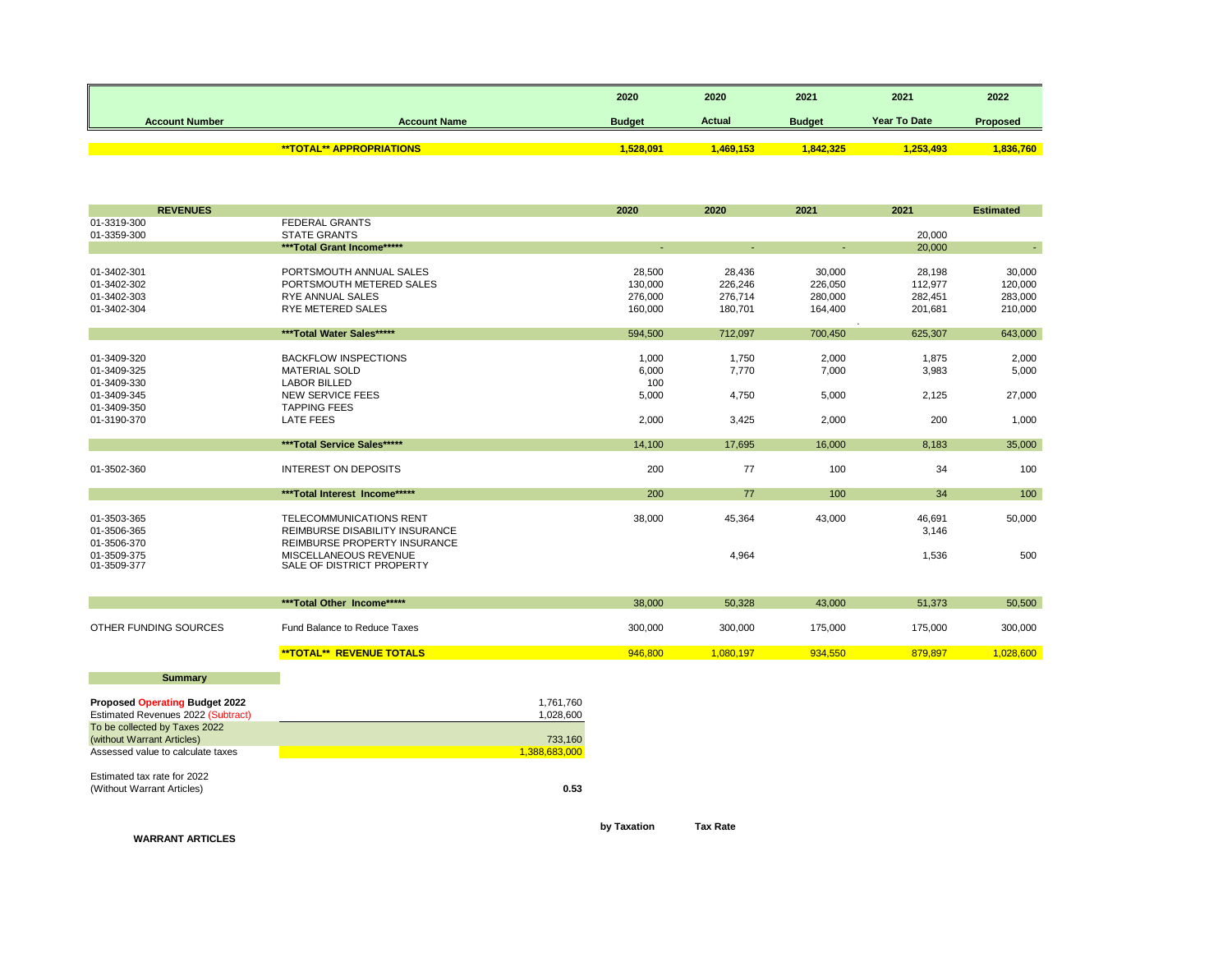|                       |                                 | 2020          | 2020     | 2021          | 2021         | 2022            |
|-----------------------|---------------------------------|---------------|----------|---------------|--------------|-----------------|
| <b>Account Number</b> | <b>Account Name</b>             | <b>Budget</b> | Actual   | <b>Budget</b> | Year To Date | <b>Proposed</b> |
|                       |                                 |               |          |               |              |                 |
|                       | <b>**TOTAL** APPROPRIATIONS</b> | 1.528.091     | .469.153 | 842.325       | .253.493     | ,836,760        |

| <b>REVENUES</b>                       |                                                   |               | 2020    | 2020      | 2021    | 2021             | <b>Estimated</b> |
|---------------------------------------|---------------------------------------------------|---------------|---------|-----------|---------|------------------|------------------|
| 01-3319-300                           | <b>FEDERAL GRANTS</b>                             |               |         |           |         |                  |                  |
| 01-3359-300                           | <b>STATE GRANTS</b><br>***Total Grant Income***** |               |         |           |         | 20,000<br>20,000 |                  |
|                                       |                                                   |               |         |           |         |                  |                  |
| 01-3402-301                           | PORTSMOUTH ANNUAL SALES                           |               | 28,500  | 28,436    | 30,000  | 28,198           | 30,000           |
| 01-3402-302                           | PORTSMOUTH METERED SALES                          |               | 130,000 | 226,246   | 226,050 | 112,977          | 120,000          |
| 01-3402-303                           | <b>RYE ANNUAL SALES</b>                           |               | 276,000 | 276,714   | 280,000 | 282,451          | 283,000          |
| 01-3402-304                           | RYE METERED SALES                                 |               | 160,000 | 180,701   | 164,400 | 201,681          | 210,000          |
|                                       | ***Total Water Sales*****                         |               | 594,500 | 712,097   | 700,450 | 625,307          | 643,000          |
|                                       |                                                   |               |         |           |         |                  |                  |
| 01-3409-320                           | <b>BACKFLOW INSPECTIONS</b>                       |               | 1,000   | 1,750     | 2,000   | 1,875            | 2,000            |
| 01-3409-325                           | <b>MATERIAL SOLD</b>                              |               | 6,000   | 7,770     | 7,000   | 3,983            | 5,000            |
| 01-3409-330                           | <b>LABOR BILLED</b>                               |               | 100     |           |         |                  |                  |
| 01-3409-345                           | <b>NEW SERVICE FEES</b>                           |               | 5,000   | 4,750     | 5,000   | 2,125            | 27,000           |
| 01-3409-350                           | <b>TAPPING FEES</b>                               |               |         |           |         |                  |                  |
| 01-3190-370                           | LATE FEES                                         |               | 2,000   | 3,425     | 2,000   | 200              | 1,000            |
|                                       | ***Total Service Sales*****                       |               | 14,100  | 17,695    | 16,000  | 8,183            | 35,000           |
|                                       |                                                   |               |         |           |         |                  |                  |
| 01-3502-360                           | <b>INTEREST ON DEPOSITS</b>                       |               | 200     | 77        | 100     | 34               | 100              |
|                                       | ***Total Interest Income*****                     |               | 200     | 77        | 100     | 34               | 100              |
| 01-3503-365                           | TELECOMMUNICATIONS RENT                           |               | 38,000  | 45,364    | 43,000  | 46,691           | 50,000           |
| 01-3506-365                           | REIMBURSE DISABILITY INSURANCE                    |               |         |           |         | 3,146            |                  |
| 01-3506-370                           | REIMBURSE PROPERTY INSURANCE                      |               |         |           |         |                  |                  |
| 01-3509-375                           | MISCELLANEOUS REVENUE                             |               |         | 4,964     |         | 1,536            | 500              |
| 01-3509-377                           | SALE OF DISTRICT PROPERTY                         |               |         |           |         |                  |                  |
|                                       |                                                   |               |         |           |         |                  |                  |
|                                       | ***Total Other Income*****                        |               | 38,000  | 50,328    | 43,000  | 51,373           | 50,500           |
|                                       |                                                   |               |         |           |         |                  |                  |
| OTHER FUNDING SOURCES                 | Fund Balance to Reduce Taxes                      |               | 300,000 | 300,000   | 175,000 | 175,000          | 300,000          |
|                                       | <b>**TOTAL** REVENUE TOTALS</b>                   |               | 946,800 | 1,080,197 | 934,550 | 879,897          | 1,028,600        |
|                                       |                                                   |               |         |           |         |                  |                  |
| <b>Summary</b>                        |                                                   |               |         |           |         |                  |                  |
| <b>Proposed Operating Budget 2022</b> |                                                   | 1,761,760     |         |           |         |                  |                  |
| Estimated Revenues 2022 (Subtract)    |                                                   | 1,028,600     |         |           |         |                  |                  |
| To be collected by Taxes 2022         |                                                   |               |         |           |         |                  |                  |
| (without Warrant Articles)            |                                                   | 733,160       |         |           |         |                  |                  |
| Assessed value to calculate taxes     |                                                   | 1,388,683,000 |         |           |         |                  |                  |
| Estimated tax rate for 2022           |                                                   |               |         |           |         |                  |                  |
| (Without Warrant Articles)            |                                                   | 0.53          |         |           |         |                  |                  |
|                                       |                                                   |               |         |           |         |                  |                  |

**by Taxation Tax Rate**